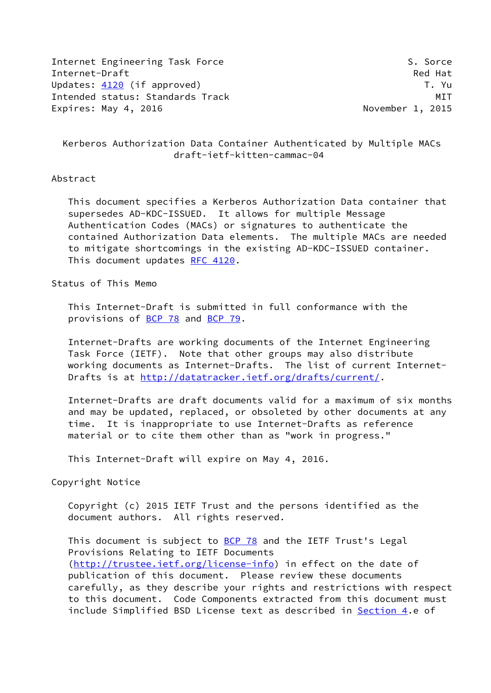Internet Engineering Task Force S. Sorce Internet-Draft Red Hat Updates: [4120](https://datatracker.ietf.org/doc/pdf/rfc4120) (if approved) Updates: 4120 (if approved) Intended status: Standards Track MIT Expires: May 4, 2016 **November 1, 2015** 

 Kerberos Authorization Data Container Authenticated by Multiple MACs draft-ietf-kitten-cammac-04

# Abstract

 This document specifies a Kerberos Authorization Data container that supersedes AD-KDC-ISSUED. It allows for multiple Message Authentication Codes (MACs) or signatures to authenticate the contained Authorization Data elements. The multiple MACs are needed to mitigate shortcomings in the existing AD-KDC-ISSUED container. This document updates [RFC 4120](https://datatracker.ietf.org/doc/pdf/rfc4120).

Status of This Memo

 This Internet-Draft is submitted in full conformance with the provisions of [BCP 78](https://datatracker.ietf.org/doc/pdf/bcp78) and [BCP 79](https://datatracker.ietf.org/doc/pdf/bcp79).

 Internet-Drafts are working documents of the Internet Engineering Task Force (IETF). Note that other groups may also distribute working documents as Internet-Drafts. The list of current Internet Drafts is at<http://datatracker.ietf.org/drafts/current/>.

 Internet-Drafts are draft documents valid for a maximum of six months and may be updated, replaced, or obsoleted by other documents at any time. It is inappropriate to use Internet-Drafts as reference material or to cite them other than as "work in progress."

This Internet-Draft will expire on May 4, 2016.

Copyright Notice

 Copyright (c) 2015 IETF Trust and the persons identified as the document authors. All rights reserved.

This document is subject to **[BCP 78](https://datatracker.ietf.org/doc/pdf/bcp78)** and the IETF Trust's Legal Provisions Relating to IETF Documents [\(http://trustee.ietf.org/license-info](http://trustee.ietf.org/license-info)) in effect on the date of publication of this document. Please review these documents carefully, as they describe your rights and restrictions with respect to this document. Code Components extracted from this document must include Simplified BSD License text as described in [Section 4.](#page-3-0)e of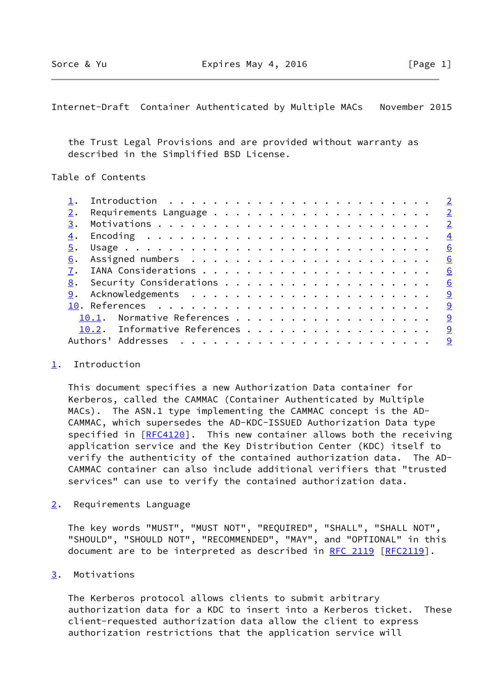# <span id="page-1-1"></span>Internet-Draft Container Authenticated by Multiple MACs November 2015

 the Trust Legal Provisions and are provided without warranty as described in the Simplified BSD License.

# Table of Contents

|    |                              | $\overline{\phantom{0}}$ 2 |
|----|------------------------------|----------------------------|
|    |                              |                            |
| 3. |                              | $\overline{\phantom{0}}^2$ |
| 4. |                              | $\overline{4}$             |
|    |                              | 6                          |
| 6. |                              | 6                          |
|    |                              | 6                          |
|    |                              | 6                          |
| 9. |                              |                            |
|    |                              |                            |
|    | 10.1. Normative References   | <u>g</u>                   |
|    | 10.2. Informative References | <u>g</u>                   |
|    |                              | <u> ୨</u>                  |
|    |                              |                            |

#### <span id="page-1-0"></span>[1](#page-1-0). Introduction

 This document specifies a new Authorization Data container for Kerberos, called the CAMMAC (Container Authenticated by Multiple MACs). The ASN.1 type implementing the CAMMAC concept is the AD- CAMMAC, which supersedes the AD-KDC-ISSUED Authorization Data type specified in [\[RFC4120](https://datatracker.ietf.org/doc/pdf/rfc4120)]. This new container allows both the receiving application service and the Key Distribution Center (KDC) itself to verify the authenticity of the contained authorization data. The AD- CAMMAC container can also include additional verifiers that "trusted services" can use to verify the contained authorization data.

<span id="page-1-2"></span>[2](#page-1-2). Requirements Language

 The key words "MUST", "MUST NOT", "REQUIRED", "SHALL", "SHALL NOT", "SHOULD", "SHOULD NOT", "RECOMMENDED", "MAY", and "OPTIONAL" in this document are to be interpreted as described in [RFC 2119 \[RFC2119](https://datatracker.ietf.org/doc/pdf/rfc2119)].

<span id="page-1-3"></span>[3](#page-1-3). Motivations

 The Kerberos protocol allows clients to submit arbitrary authorization data for a KDC to insert into a Kerberos ticket. These client-requested authorization data allow the client to express authorization restrictions that the application service will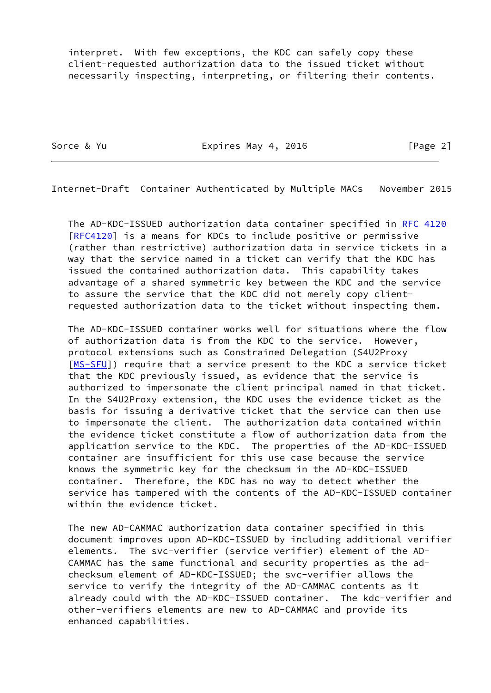interpret. With few exceptions, the KDC can safely copy these client-requested authorization data to the issued ticket without necessarily inspecting, interpreting, or filtering their contents.

Sorce & Yu **Expires May 4, 2016** [Page 2]

Internet-Draft Container Authenticated by Multiple MACs November 2015

 The AD-KDC-ISSUED authorization data container specified in [RFC 4120](https://datatracker.ietf.org/doc/pdf/rfc4120) [\[RFC4120](https://datatracker.ietf.org/doc/pdf/rfc4120)] is a means for KDCs to include positive or permissive (rather than restrictive) authorization data in service tickets in a way that the service named in a ticket can verify that the KDC has issued the contained authorization data. This capability takes advantage of a shared symmetric key between the KDC and the service to assure the service that the KDC did not merely copy client requested authorization data to the ticket without inspecting them.

 The AD-KDC-ISSUED container works well for situations where the flow of authorization data is from the KDC to the service. However, protocol extensions such as Constrained Delegation (S4U2Proxy [\[MS-SFU](#page-9-5)]) require that a service present to the KDC a service ticket that the KDC previously issued, as evidence that the service is authorized to impersonate the client principal named in that ticket. In the S4U2Proxy extension, the KDC uses the evidence ticket as the basis for issuing a derivative ticket that the service can then use to impersonate the client. The authorization data contained within the evidence ticket constitute a flow of authorization data from the application service to the KDC. The properties of the AD-KDC-ISSUED container are insufficient for this use case because the service knows the symmetric key for the checksum in the AD-KDC-ISSUED container. Therefore, the KDC has no way to detect whether the service has tampered with the contents of the AD-KDC-ISSUED container within the evidence ticket.

 The new AD-CAMMAC authorization data container specified in this document improves upon AD-KDC-ISSUED by including additional verifier elements. The svc-verifier (service verifier) element of the AD- CAMMAC has the same functional and security properties as the ad checksum element of AD-KDC-ISSUED; the svc-verifier allows the service to verify the integrity of the AD-CAMMAC contents as it already could with the AD-KDC-ISSUED container. The kdc-verifier and other-verifiers elements are new to AD-CAMMAC and provide its enhanced capabilities.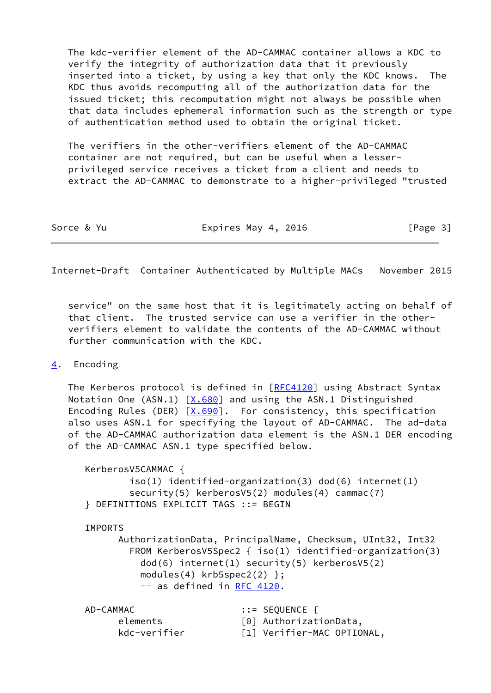The kdc-verifier element of the AD-CAMMAC container allows a KDC to verify the integrity of authorization data that it previously inserted into a ticket, by using a key that only the KDC knows. The KDC thus avoids recomputing all of the authorization data for the issued ticket; this recomputation might not always be possible when that data includes ephemeral information such as the strength or type of authentication method used to obtain the original ticket.

 The verifiers in the other-verifiers element of the AD-CAMMAC container are not required, but can be useful when a lesser privileged service receives a ticket from a client and needs to extract the AD-CAMMAC to demonstrate to a higher-privileged "trusted

| Expires May 4, 2016<br>Sorce & Yu | [Page 3] |
|-----------------------------------|----------|
|-----------------------------------|----------|

<span id="page-3-1"></span>Internet-Draft Container Authenticated by Multiple MACs November 2015

 service" on the same host that it is legitimately acting on behalf of that client. The trusted service can use a verifier in the other verifiers element to validate the contents of the AD-CAMMAC without further communication with the KDC.

# <span id="page-3-0"></span>[4](#page-3-0). Encoding

The Kerberos protocol is defined in [\[RFC4120](https://datatracker.ietf.org/doc/pdf/rfc4120)] using Abstract Syntax Notation One (ASN.1)  $[X.680]$  and using the ASN.1 Distinguished Encoding Rules (DER)  $[X.690]$ . For consistency, this specification also uses ASN.1 for specifying the layout of AD-CAMMAC. The ad-data of the AD-CAMMAC authorization data element is the ASN.1 DER encoding of the AD-CAMMAC ASN.1 type specified below.

```
 KerberosV5CAMMAC {
        iso(1) identified-organization(3) dod(6) internet(1)
       security(5) kerberosV5(2) modules(4) cammac(7)
} DEFINITIONS EXPLICIT TAGS ::= BEGIN
```
#### IMPORTS

 AuthorizationData, PrincipalName, Checksum, UInt32, Int32 FROM KerberosV5Spec2 { iso(1) identified-organization(3) dod(6) internet(1) security(5) kerberosV5(2) modules(4) krb5spec2(2) }; -- as defined in [RFC 4120](https://datatracker.ietf.org/doc/pdf/rfc4120).

| AD-CAMMAC    | $\mathbf{::} = \mathsf{SEQUENCE}$ { |
|--------------|-------------------------------------|
| elements     | [0] AuthorizationData,              |
| kdc-verifier | [1] Verifier-MAC OPTIONAL,          |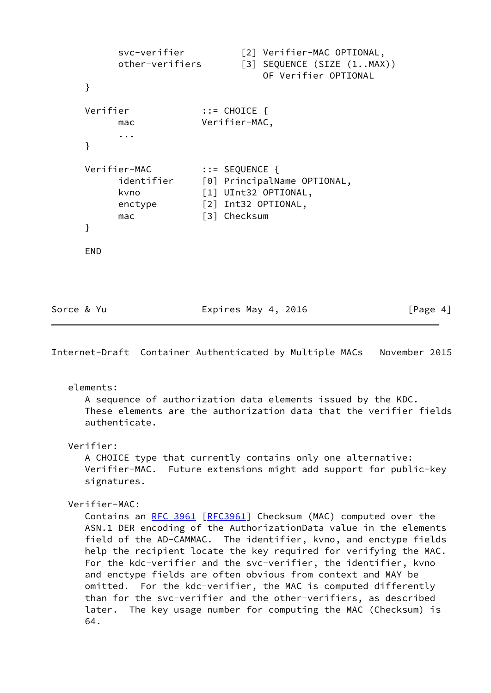```
svc-verifier [2] Verifier-MAC OPTIONAL,
    other-verifiers [3] SEQUENCE (SIZE (1..MAX))
                          OF Verifier OPTIONAL
}
Verifier ::= CHOICE {
     mac Verifier-MAC,
     ...
}
Verifier-MAC ::= SEQUENCE {
    identifier [0] PrincipalName OPTIONAL,
    kvno [1] UInt32 OPTIONAL,
     enctype [2] Int32 OPTIONAL,
    mac [3] Checksum
}
END
```

| [Page 4]<br>Expires May 4, 2016<br>Sorce & Yu |
|-----------------------------------------------|
|-----------------------------------------------|

Internet-Draft Container Authenticated by Multiple MACs November 2015

elements:

 A sequence of authorization data elements issued by the KDC. These elements are the authorization data that the verifier fields authenticate.

Verifier:

 A CHOICE type that currently contains only one alternative: Verifier-MAC. Future extensions might add support for public-key signatures.

Verifier-MAC:

Contains an [RFC 3961 \[RFC3961](https://datatracker.ietf.org/doc/pdf/rfc3961)] Checksum (MAC) computed over the ASN.1 DER encoding of the AuthorizationData value in the elements field of the AD-CAMMAC. The identifier, kvno, and enctype fields help the recipient locate the key required for verifying the MAC. For the kdc-verifier and the svc-verifier, the identifier, kvno and enctype fields are often obvious from context and MAY be omitted. For the kdc-verifier, the MAC is computed differently than for the svc-verifier and the other-verifiers, as described later. The key usage number for computing the MAC (Checksum) is 64.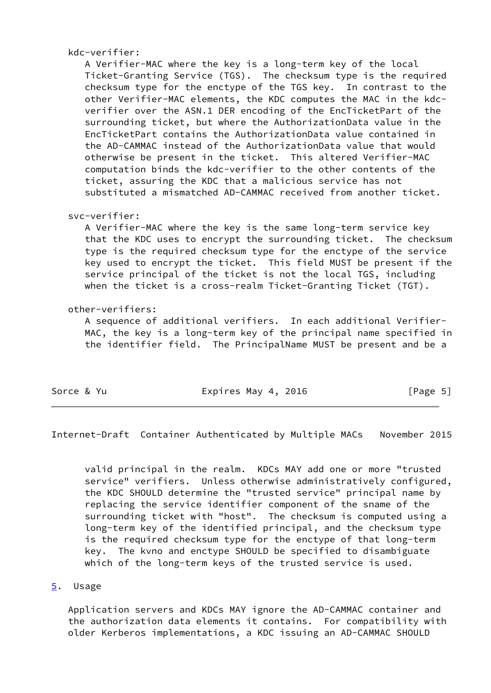kdc-verifier:

 A Verifier-MAC where the key is a long-term key of the local Ticket-Granting Service (TGS). The checksum type is the required checksum type for the enctype of the TGS key. In contrast to the other Verifier-MAC elements, the KDC computes the MAC in the kdc verifier over the ASN.1 DER encoding of the EncTicketPart of the surrounding ticket, but where the AuthorizationData value in the EncTicketPart contains the AuthorizationData value contained in the AD-CAMMAC instead of the AuthorizationData value that would otherwise be present in the ticket. This altered Verifier-MAC computation binds the kdc-verifier to the other contents of the ticket, assuring the KDC that a malicious service has not substituted a mismatched AD-CAMMAC received from another ticket.

## svc-verifier:

 A Verifier-MAC where the key is the same long-term service key that the KDC uses to encrypt the surrounding ticket. The checksum type is the required checksum type for the enctype of the service key used to encrypt the ticket. This field MUST be present if the service principal of the ticket is not the local TGS, including when the ticket is a cross-realm Ticket-Granting Ticket (TGT).

## other-verifiers:

 A sequence of additional verifiers. In each additional Verifier- MAC, the key is a long-term key of the principal name specified in the identifier field. The PrincipalName MUST be present and be a

| Expires May 4, 2016<br>Sorce & Yu | [Page 5] |  |  |  |  |
|-----------------------------------|----------|--|--|--|--|
|-----------------------------------|----------|--|--|--|--|

<span id="page-5-1"></span>Internet-Draft Container Authenticated by Multiple MACs November 2015

 valid principal in the realm. KDCs MAY add one or more "trusted service" verifiers. Unless otherwise administratively configured, the KDC SHOULD determine the "trusted service" principal name by replacing the service identifier component of the sname of the surrounding ticket with "host". The checksum is computed using a long-term key of the identified principal, and the checksum type is the required checksum type for the enctype of that long-term key. The kvno and enctype SHOULD be specified to disambiguate which of the long-term keys of the trusted service is used.

### <span id="page-5-0"></span>[5](#page-5-0). Usage

 Application servers and KDCs MAY ignore the AD-CAMMAC container and the authorization data elements it contains. For compatibility with older Kerberos implementations, a KDC issuing an AD-CAMMAC SHOULD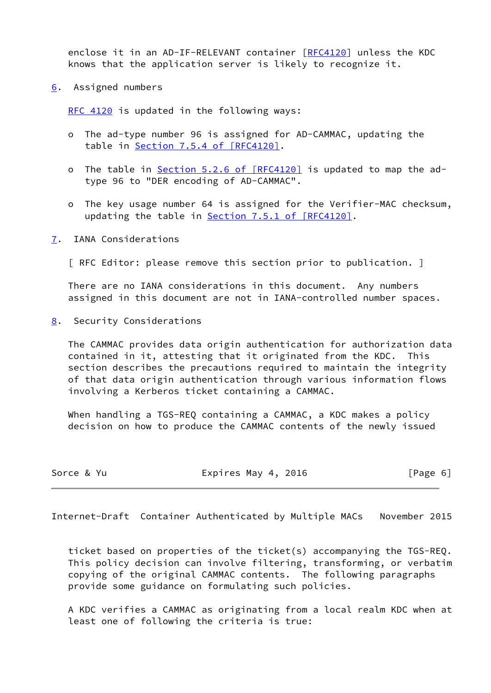enclose it in an AD-IF-RELEVANT container [[RFC4120](https://datatracker.ietf.org/doc/pdf/rfc4120)] unless the KDC knows that the application server is likely to recognize it.

<span id="page-6-0"></span>[6](#page-6-0). Assigned numbers

[RFC 4120](https://datatracker.ietf.org/doc/pdf/rfc4120) is updated in the following ways:

- o The ad-type number 96 is assigned for AD-CAMMAC, updating the table in Section [7.5.4 of \[RFC4120\].](https://datatracker.ietf.org/doc/pdf/rfc4120#section-7.5.4)
- o The table in Section [5.2.6 of \[RFC4120\]](https://datatracker.ietf.org/doc/pdf/rfc4120#section-5.2.6) is updated to map the adtype 96 to "DER encoding of AD-CAMMAC".
- o The key usage number 64 is assigned for the Verifier-MAC checksum, updating the table in **Section 7.5.1 of [RFC4120]**.
- <span id="page-6-1"></span>[7](#page-6-1). IANA Considerations
	- [ RFC Editor: please remove this section prior to publication. ]

 There are no IANA considerations in this document. Any numbers assigned in this document are not in IANA-controlled number spaces.

<span id="page-6-2"></span>[8](#page-6-2). Security Considerations

 The CAMMAC provides data origin authentication for authorization data contained in it, attesting that it originated from the KDC. This section describes the precautions required to maintain the integrity of that data origin authentication through various information flows involving a Kerberos ticket containing a CAMMAC.

When handling a TGS-REQ containing a CAMMAC, a KDC makes a policy decision on how to produce the CAMMAC contents of the newly issued

| Sorce & Yu | Expires May 4, 2016 | [Page 6] |
|------------|---------------------|----------|
|------------|---------------------|----------|

Internet-Draft Container Authenticated by Multiple MACs November 2015

 ticket based on properties of the ticket(s) accompanying the TGS-REQ. This policy decision can involve filtering, transforming, or verbatim copying of the original CAMMAC contents. The following paragraphs provide some guidance on formulating such policies.

 A KDC verifies a CAMMAC as originating from a local realm KDC when at least one of following the criteria is true: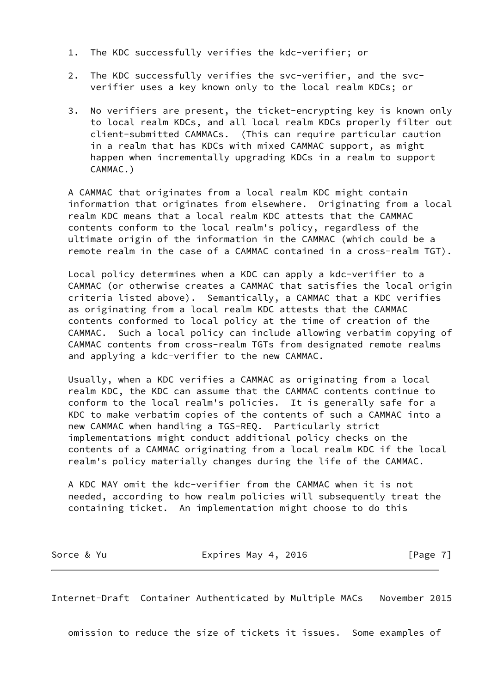- 1. The KDC successfully verifies the kdc-verifier; or
- 2. The KDC successfully verifies the svc-verifier, and the svc verifier uses a key known only to the local realm KDCs; or
- 3. No verifiers are present, the ticket-encrypting key is known only to local realm KDCs, and all local realm KDCs properly filter out client-submitted CAMMACs. (This can require particular caution in a realm that has KDCs with mixed CAMMAC support, as might happen when incrementally upgrading KDCs in a realm to support CAMMAC.)

 A CAMMAC that originates from a local realm KDC might contain information that originates from elsewhere. Originating from a local realm KDC means that a local realm KDC attests that the CAMMAC contents conform to the local realm's policy, regardless of the ultimate origin of the information in the CAMMAC (which could be a remote realm in the case of a CAMMAC contained in a cross-realm TGT).

 Local policy determines when a KDC can apply a kdc-verifier to a CAMMAC (or otherwise creates a CAMMAC that satisfies the local origin criteria listed above). Semantically, a CAMMAC that a KDC verifies as originating from a local realm KDC attests that the CAMMAC contents conformed to local policy at the time of creation of the CAMMAC. Such a local policy can include allowing verbatim copying of CAMMAC contents from cross-realm TGTs from designated remote realms and applying a kdc-verifier to the new CAMMAC.

 Usually, when a KDC verifies a CAMMAC as originating from a local realm KDC, the KDC can assume that the CAMMAC contents continue to conform to the local realm's policies. It is generally safe for a KDC to make verbatim copies of the contents of such a CAMMAC into a new CAMMAC when handling a TGS-REQ. Particularly strict implementations might conduct additional policy checks on the contents of a CAMMAC originating from a local realm KDC if the local realm's policy materially changes during the life of the CAMMAC.

 A KDC MAY omit the kdc-verifier from the CAMMAC when it is not needed, according to how realm policies will subsequently treat the containing ticket. An implementation might choose to do this

Sorce & Yu **Expires May 4, 2016** [Page 7]

Internet-Draft Container Authenticated by Multiple MACs November 2015

omission to reduce the size of tickets it issues. Some examples of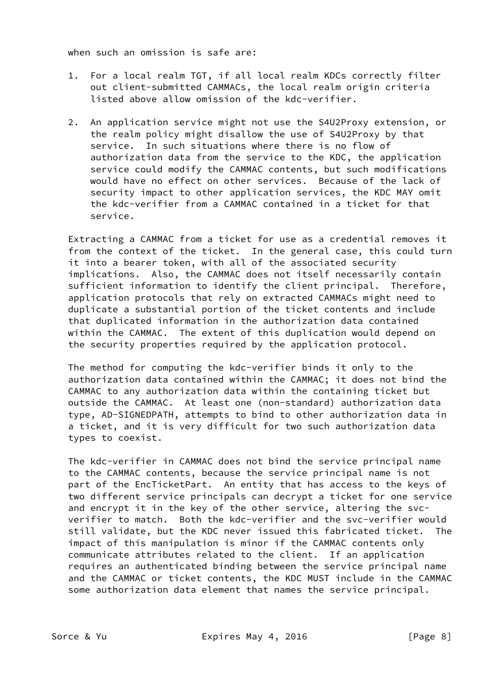when such an omission is safe are:

- 1. For a local realm TGT, if all local realm KDCs correctly filter out client-submitted CAMMACs, the local realm origin criteria listed above allow omission of the kdc-verifier.
- 2. An application service might not use the S4U2Proxy extension, or the realm policy might disallow the use of S4U2Proxy by that service. In such situations where there is no flow of authorization data from the service to the KDC, the application service could modify the CAMMAC contents, but such modifications would have no effect on other services. Because of the lack of security impact to other application services, the KDC MAY omit the kdc-verifier from a CAMMAC contained in a ticket for that service.

 Extracting a CAMMAC from a ticket for use as a credential removes it from the context of the ticket. In the general case, this could turn it into a bearer token, with all of the associated security implications. Also, the CAMMAC does not itself necessarily contain sufficient information to identify the client principal. Therefore, application protocols that rely on extracted CAMMACs might need to duplicate a substantial portion of the ticket contents and include that duplicated information in the authorization data contained within the CAMMAC. The extent of this duplication would depend on the security properties required by the application protocol.

 The method for computing the kdc-verifier binds it only to the authorization data contained within the CAMMAC; it does not bind the CAMMAC to any authorization data within the containing ticket but outside the CAMMAC. At least one (non-standard) authorization data type, AD-SIGNEDPATH, attempts to bind to other authorization data in a ticket, and it is very difficult for two such authorization data types to coexist.

 The kdc-verifier in CAMMAC does not bind the service principal name to the CAMMAC contents, because the service principal name is not part of the EncTicketPart. An entity that has access to the keys of two different service principals can decrypt a ticket for one service and encrypt it in the key of the other service, altering the svc verifier to match. Both the kdc-verifier and the svc-verifier would still validate, but the KDC never issued this fabricated ticket. The impact of this manipulation is minor if the CAMMAC contents only communicate attributes related to the client. If an application requires an authenticated binding between the service principal name and the CAMMAC or ticket contents, the KDC MUST include in the CAMMAC some authorization data element that names the service principal.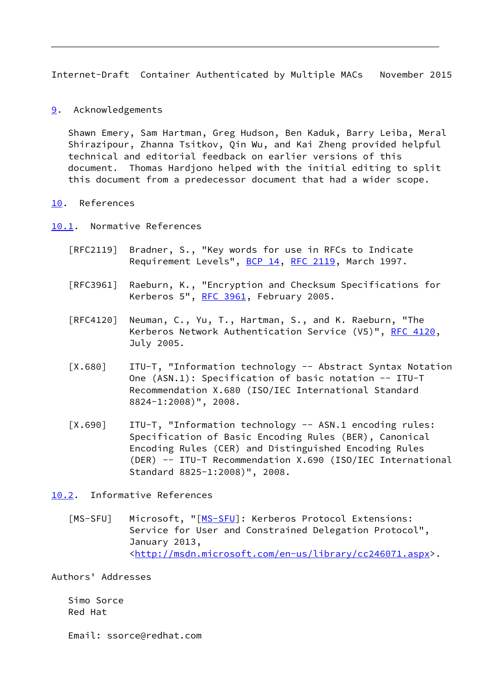<span id="page-9-1"></span>Internet-Draft Container Authenticated by Multiple MACs November 2015

<span id="page-9-0"></span>[9](#page-9-0). Acknowledgements

 Shawn Emery, Sam Hartman, Greg Hudson, Ben Kaduk, Barry Leiba, Meral Shirazipour, Zhanna Tsitkov, Qin Wu, and Kai Zheng provided helpful technical and editorial feedback on earlier versions of this document. Thomas Hardjono helped with the initial editing to split this document from a predecessor document that had a wider scope.

# <span id="page-9-2"></span>[10.](#page-9-2) References

<span id="page-9-3"></span>[10.1](#page-9-3). Normative References

- [RFC2119] Bradner, S., "Key words for use in RFCs to Indicate Requirement Levels", [BCP 14](https://datatracker.ietf.org/doc/pdf/bcp14), [RFC 2119](https://datatracker.ietf.org/doc/pdf/rfc2119), March 1997.
- [RFC3961] Raeburn, K., "Encryption and Checksum Specifications for Kerberos 5", [RFC 3961](https://datatracker.ietf.org/doc/pdf/rfc3961), February 2005.
- [RFC4120] Neuman, C., Yu, T., Hartman, S., and K. Raeburn, "The Kerberos Network Authentication Service (V5)", [RFC 4120](https://datatracker.ietf.org/doc/pdf/rfc4120), July 2005.
- <span id="page-9-6"></span> [X.680] ITU-T, "Information technology -- Abstract Syntax Notation One (ASN.1): Specification of basic notation -- ITU-T Recommendation X.680 (ISO/IEC International Standard 8824-1:2008)", 2008.
- <span id="page-9-7"></span> [X.690] ITU-T, "Information technology -- ASN.1 encoding rules: Specification of Basic Encoding Rules (BER), Canonical Encoding Rules (CER) and Distinguished Encoding Rules (DER) -- ITU-T Recommendation X.690 (ISO/IEC International Standard 8825-1:2008)", 2008.
- <span id="page-9-5"></span><span id="page-9-4"></span>[10.2](#page-9-4). Informative References
	- [\[MS-SFU](#page-9-5)] Microsoft, "[<u>MS-SFU]</u>: Kerberos Protocol Extensions: Service for User and Constrained Delegation Protocol", January 2013, <[http://msdn.microsoft.com/en-us/library/cc246071.aspx>](http://msdn.microsoft.com/en-us/library/cc246071.aspx).

Authors' Addresses

 Simo Sorce Red Hat

Email: ssorce@redhat.com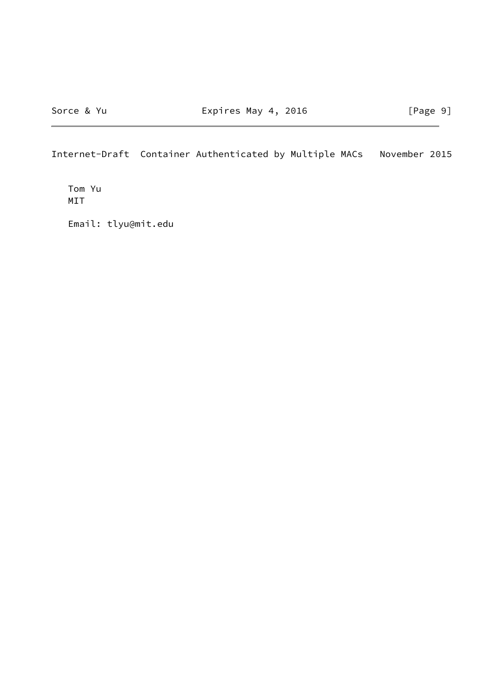Internet-Draft Container Authenticated by Multiple MACs November 2015

 Tom Yu MIT

Email: tlyu@mit.edu